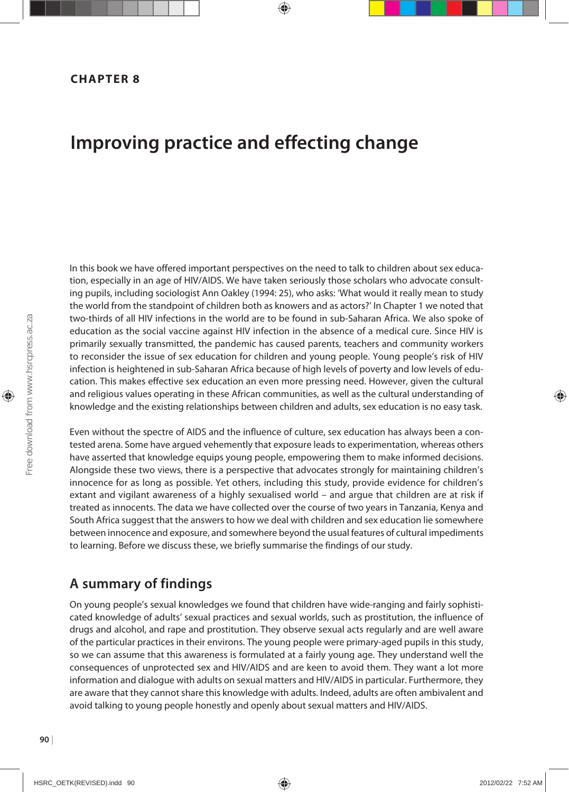# **Improving practice and effecting change**

In this book we have offered important perspectives on the need to talk to children about sex education, especially in an age of HIV/AIDS. We have taken seriously those scholars who advocate consulting pupils, including sociologist Ann Oakley (1994: 25), who asks: 'What would it really mean to study the world from the standpoint of children both as knowers and as actors?' In Chapter 1 we noted that two-thirds of all HIV infections in the world are to be found in sub-Saharan Africa. We also spoke of education as the social vaccine against HIV infection in the absence of a medical cure. Since HIV is primarily sexually transmitted, the pandemic has caused parents, teachers and community workers to reconsider the issue of sex education for children and young people. Young people's risk of HIV infection is heightened in sub-Saharan Africa because of high levels of poverty and low levels of education. This makes effective sex education an even more pressing need. However, given the cultural and religious values operating in these African communities, as well as the cultural understanding of knowledge and the existing relationships between children and adults, sex education is no easy task.

Even without the spectre of AIDS and the influence of culture, sex education has always been a contested arena. Some have argued vehemently that exposure leads to experimentation, whereas others have asserted that knowledge equips young people, empowering them to make informed decisions. Alongside these two views, there is a perspective that advocates strongly for maintaining children's innocence for as long as possible. Yet others, including this study, provide evidence for children's extant and vigilant awareness of a highly sexualised world – and argue that children are at risk if treated as innocents. The data we have collected over the course of two years in Tanzania, Kenya and South Africa suggest that the answers to how we deal with children and sex education lie somewhere between innocence and exposure, and somewhere beyond the usual features of cultural impediments to learning. Before we discuss these, we briefly summarise the findings of our study.

## **A summary of findings**

On young people's sexual knowledges we found that children have wide-ranging and fairly sophisticated knowledge of adults' sexual practices and sexual worlds, such as prostitution, the influence of drugs and alcohol, and rape and prostitution. They observe sexual acts regularly and are well aware of the particular practices in their environs. The young people were primary-aged pupils in this study, so we can assume that this awareness is formulated at a fairly young age. They understand well the consequences of unprotected sex and HIV/AIDS and are keen to avoid them. They want a lot more information and dialogue with adults on sexual matters and HIV/AIDS in particular. Furthermore, they are aware that they cannot share this knowledge with adults. Indeed, adults are often ambivalent and avoid talking to young people honestly and openly about sexual matters and HIV/AIDS.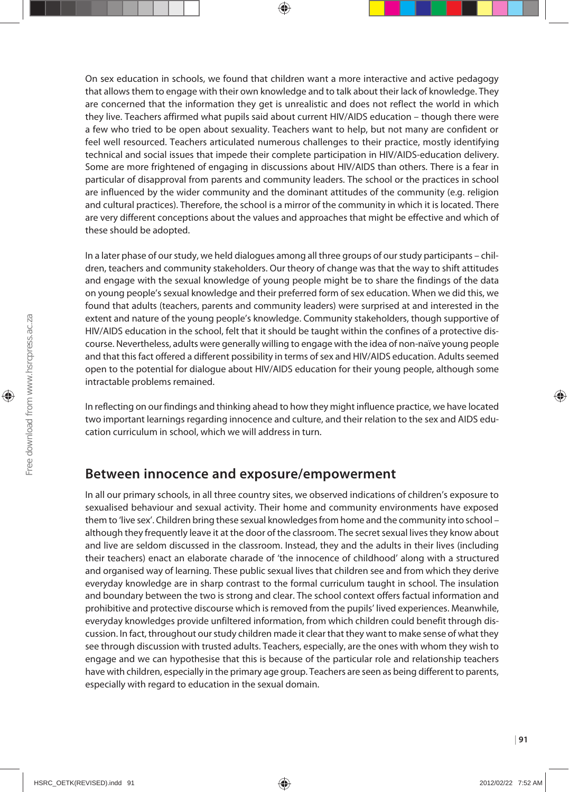On sex education in schools, we found that children want a more interactive and active pedagogy that allows them to engage with their own knowledge and to talk about their lack of knowledge. They are concerned that the information they get is unrealistic and does not reflect the world in which they live. Teachers affirmed what pupils said about current HIV/AIDS education – though there were a few who tried to be open about sexuality. Teachers want to help, but not many are confident or feel well resourced. Teachers articulated numerous challenges to their practice, mostly identifying technical and social issues that impede their complete participation in HIV/AIDS-education delivery. Some are more frightened of engaging in discussions about HIV/AIDS than others. There is a fear in particular of disapproval from parents and community leaders. The school or the practices in school are influenced by the wider community and the dominant attitudes of the community (e.g. religion and cultural practices). Therefore, the school is a mirror of the community in which it is located. There are very different conceptions about the values and approaches that might be effective and which of these should be adopted.

In a later phase of our study, we held dialogues among all three groups of our study participants – children, teachers and community stakeholders. Our theory of change was that the way to shift attitudes and engage with the sexual knowledge of young people might be to share the findings of the data on young people's sexual knowledge and their preferred form of sex education. When we did this, we found that adults (teachers, parents and community leaders) were surprised at and interested in the extent and nature of the young people's knowledge. Community stakeholders, though supportive of HIV/AIDS education in the school, felt that it should be taught within the confines of a protective discourse. Nevertheless, adults were generally willing to engage with the idea of non-naïve young people and that this fact offered a different possibility in terms of sex and HIV/AIDS education. Adults seemed open to the potential for dialogue about HIV/AIDS education for their young people, although some intractable problems remained.

In reflecting on our findings and thinking ahead to how they might influence practice, we have located two important learnings regarding innocence and culture, and their relation to the sex and AIDS education curriculum in school, which we will address in turn.

#### **Between innocence and exposure/empowerment**

In all our primary schools, in all three country sites, we observed indications of children's exposure to sexualised behaviour and sexual activity. Their home and community environments have exposed them to 'live sex'. Children bring these sexual knowledges from home and the community into school – although they frequently leave it at the door of the classroom. The secret sexual lives they know about and live are seldom discussed in the classroom. Instead, they and the adults in their lives (including their teachers) enact an elaborate charade of 'the innocence of childhood' along with a structured and organised way of learning. These public sexual lives that children see and from which they derive everyday knowledge are in sharp contrast to the formal curriculum taught in school. The insulation and boundary between the two is strong and clear. The school context offers factual information and prohibitive and protective discourse which is removed from the pupils' lived experiences. Meanwhile, everyday knowledges provide unfiltered information, from which children could benefit through discussion. In fact, throughout our study children made it clear that they want to make sense of what they see through discussion with trusted adults. Teachers, especially, are the ones with whom they wish to engage and we can hypothesise that this is because of the particular role and relationship teachers have with children, especially in the primary age group. Teachers are seen as being different to parents, especially with regard to education in the sexual domain.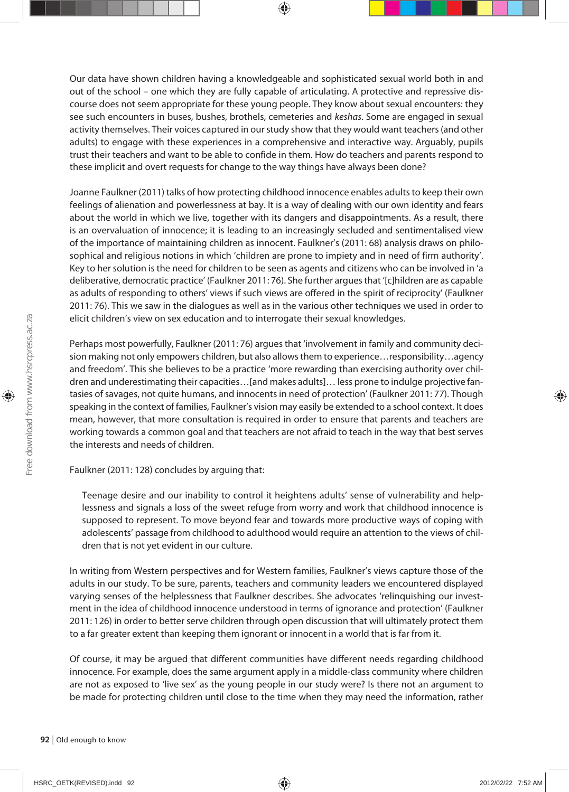Our data have shown children having a knowledgeable and sophisticated sexual world both in and out of the school – one which they are fully capable of articulating. A protective and repressive discourse does not seem appropriate for these young people. They know about sexual encounters: they see such encounters in buses, bushes, brothels, cemeteries and *keshas*. Some are engaged in sexual activity themselves. Their voices captured in our study show that they would want teachers (and other adults) to engage with these experiences in a comprehensive and interactive way. Arguably, pupils trust their teachers and want to be able to confide in them. How do teachers and parents respond to these implicit and overt requests for change to the way things have always been done?

Joanne Faulkner (2011) talks of how protecting childhood innocence enables adults to keep their own feelings of alienation and powerlessness at bay. It is a way of dealing with our own identity and fears about the world in which we live, together with its dangers and disappointments. As a result, there is an overvaluation of innocence; it is leading to an increasingly secluded and sentimentalised view of the importance of maintaining children as innocent. Faulkner's (2011: 68) analysis draws on philosophical and religious notions in which 'children are prone to impiety and in need of firm authority'. Key to her solution is the need for children to be seen as agents and citizens who can be involved in 'a deliberative, democratic practice' (Faulkner 2011: 76). She further argues that '[c]hildren are as capable as adults of responding to others' views if such views are offered in the spirit of reciprocity' (Faulkner 2011: 76). This we saw in the dialogues as well as in the various other techniques we used in order to elicit children's view on sex education and to interrogate their sexual knowledges.

Perhaps most powerfully, Faulkner (2011: 76) argues that 'involvement in family and community decision making not only empowers children, but also allows them to experience…responsibility…agency and freedom'. This she believes to be a practice 'more rewarding than exercising authority over children and underestimating their capacities…[and makes adults]… less prone to indulge projective fantasies of savages, not quite humans, and innocents in need of protection' (Faulkner 2011: 77). Though speaking in the context of families, Faulkner's vision may easily be extended to a school context. It does mean, however, that more consultation is required in order to ensure that parents and teachers are working towards a common goal and that teachers are not afraid to teach in the way that best serves the interests and needs of children.

Faulkner (2011: 128) concludes by arguing that:

Teenage desire and our inability to control it heightens adults' sense of vulnerability and helplessness and signals a loss of the sweet refuge from worry and work that childhood innocence is supposed to represent. To move beyond fear and towards more productive ways of coping with adolescents' passage from childhood to adulthood would require an attention to the views of children that is not yet evident in our culture.

In writing from Western perspectives and for Western families, Faulkner's views capture those of the adults in our study. To be sure, parents, teachers and community leaders we encountered displayed varying senses of the helplessness that Faulkner describes. She advocates 'relinquishing our investment in the idea of childhood innocence understood in terms of ignorance and protection' (Faulkner 2011: 126) in order to better serve children through open discussion that will ultimately protect them to a far greater extent than keeping them ignorant or innocent in a world that is far from it.

Of course, it may be argued that different communities have different needs regarding childhood innocence. For example, does the same argument apply in a middle-class community where children are not as exposed to 'live sex' as the young people in our study were? Is there not an argument to be made for protecting children until close to the time when they may need the information, rather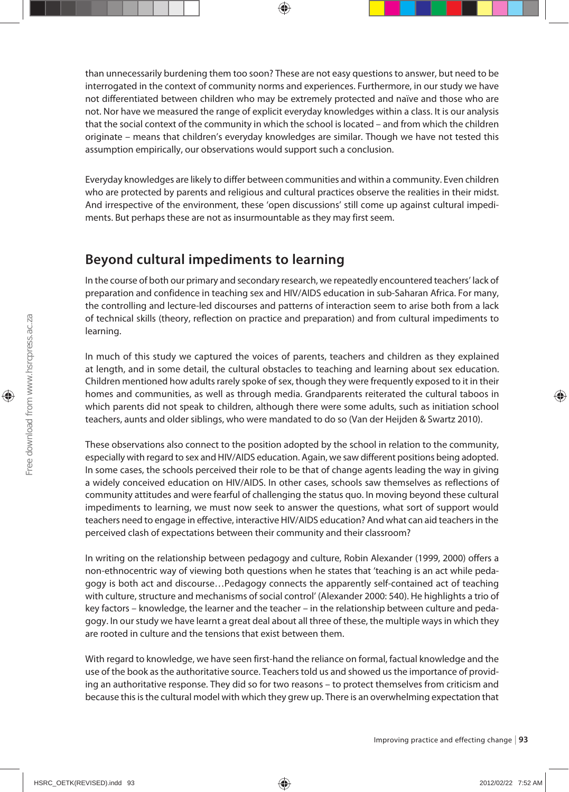than unnecessarily burdening them too soon? These are not easy questions to answer, but need to be interrogated in the context of community norms and experiences. Furthermore, in our study we have not differentiated between children who may be extremely protected and naïve and those who are not. Nor have we measured the range of explicit everyday knowledges within a class. It is our analysis that the social context of the community in which the school is located – and from which the children originate – means that children's everyday knowledges are similar. Though we have not tested this assumption empirically, our observations would support such a conclusion.

Everyday knowledges are likely to differ between communities and within a community. Even children who are protected by parents and religious and cultural practices observe the realities in their midst. And irrespective of the environment, these 'open discussions' still come up against cultural impediments. But perhaps these are not as insurmountable as they may first seem.

## **Beyond cultural impediments to learning**

In the course of both our primary and secondary research, we repeatedly encountered teachers' lack of preparation and confidence in teaching sex and HIV/AIDS education in sub-Saharan Africa. For many, the controlling and lecture-led discourses and patterns of interaction seem to arise both from a lack of technical skills (theory, reflection on practice and preparation) and from cultural impediments to learning.

In much of this study we captured the voices of parents, teachers and children as they explained at length, and in some detail, the cultural obstacles to teaching and learning about sex education. Children mentioned how adults rarely spoke of sex, though they were frequently exposed to it in their homes and communities, as well as through media. Grandparents reiterated the cultural taboos in which parents did not speak to children, although there were some adults, such as initiation school teachers, aunts and older siblings, who were mandated to do so (Van der Heijden & Swartz 2010).

These observations also connect to the position adopted by the school in relation to the community, especially with regard to sex and HIV/AIDS education. Again, we saw different positions being adopted. In some cases, the schools perceived their role to be that of change agents leading the way in giving a widely conceived education on HIV/AIDS. In other cases, schools saw themselves as reflections of community attitudes and were fearful of challenging the status quo. In moving beyond these cultural impediments to learning, we must now seek to answer the questions, what sort of support would teachers need to engage in effective, interactive HIV/AIDS education? And what can aid teachers in the perceived clash of expectations between their community and their classroom?

In writing on the relationship between pedagogy and culture, Robin Alexander (1999, 2000) offers a non-ethnocentric way of viewing both questions when he states that 'teaching is an act while pedagogy is both act and discourse…Pedagogy connects the apparently self-contained act of teaching with culture, structure and mechanisms of social control' (Alexander 2000: 540). He highlights a trio of key factors – knowledge, the learner and the teacher – in the relationship between culture and pedagogy. In our study we have learnt a great deal about all three of these, the multiple ways in which they are rooted in culture and the tensions that exist between them.

With regard to knowledge, we have seen first-hand the reliance on formal, factual knowledge and the use of the book as the authoritative source. Teachers told us and showed us the importance of providing an authoritative response. They did so for two reasons – to protect themselves from criticism and because this is the cultural model with which they grew up. There is an overwhelming expectation that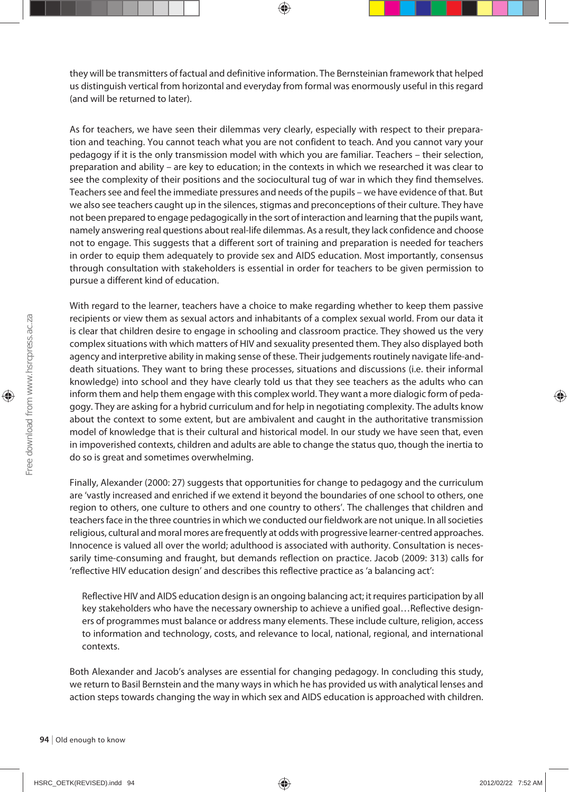they will be transmitters of factual and definitive information. The Bernsteinian framework that helped us distinguish vertical from horizontal and everyday from formal was enormously useful in this regard (and will be returned to later).

As for teachers, we have seen their dilemmas very clearly, especially with respect to their preparation and teaching. You cannot teach what you are not confident to teach. And you cannot vary your pedagogy if it is the only transmission model with which you are familiar. Teachers – their selection, preparation and ability – are key to education; in the contexts in which we researched it was clear to see the complexity of their positions and the sociocultural tug of war in which they find themselves. Teachers see and feel the immediate pressures and needs of the pupils – we have evidence of that. But we also see teachers caught up in the silences, stigmas and preconceptions of their culture. They have not been prepared to engage pedagogically in the sort of interaction and learning that the pupils want, namely answering real questions about real-life dilemmas. As a result, they lack confidence and choose not to engage. This suggests that a different sort of training and preparation is needed for teachers in order to equip them adequately to provide sex and AIDS education. Most importantly, consensus through consultation with stakeholders is essential in order for teachers to be given permission to pursue a different kind of education.

With regard to the learner, teachers have a choice to make regarding whether to keep them passive recipients or view them as sexual actors and inhabitants of a complex sexual world. From our data it is clear that children desire to engage in schooling and classroom practice. They showed us the very complex situations with which matters of HIV and sexuality presented them. They also displayed both agency and interpretive ability in making sense of these. Their judgements routinely navigate life-anddeath situations. They want to bring these processes, situations and discussions (i.e. their informal knowledge) into school and they have clearly told us that they see teachers as the adults who can inform them and help them engage with this complex world. They want a more dialogic form of pedagogy. They are asking for a hybrid curriculum and for help in negotiating complexity. The adults know about the context to some extent, but are ambivalent and caught in the authoritative transmission model of knowledge that is their cultural and historical model. In our study we have seen that, even in impoverished contexts, children and adults are able to change the status quo, though the inertia to do so is great and sometimes overwhelming.

Finally, Alexander (2000: 27) suggests that opportunities for change to pedagogy and the curriculum are 'vastly increased and enriched if we extend it beyond the boundaries of one school to others, one region to others, one culture to others and one country to others'. The challenges that children and teachers face in the three countries in which we conducted our fieldwork are not unique. In all societies religious, cultural and moral mores are frequently at odds with progressive learner-centred approaches. Innocence is valued all over the world; adulthood is associated with authority. Consultation is necessarily time-consuming and fraught, but demands reflection on practice. Jacob (2009: 313) calls for 'reflective HIV education design' and describes this reflective practice as 'a balancing act':

Reflective HIV and AIDS education design is an ongoing balancing act; it requires participation by all key stakeholders who have the necessary ownership to achieve a unified goal…Reflective designers of programmes must balance or address many elements. These include culture, religion, access to information and technology, costs, and relevance to local, national, regional, and international contexts.

Both Alexander and Jacob's analyses are essential for changing pedagogy. In concluding this study, we return to Basil Bernstein and the many ways in which he has provided us with analytical lenses and action steps towards changing the way in which sex and AIDS education is approached with children.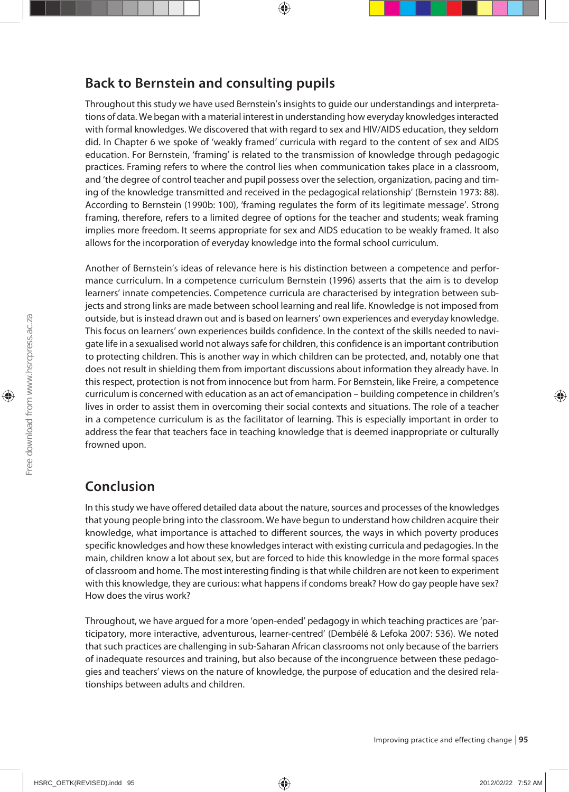## **Back to Bernstein and consulting pupils**

Throughout this study we have used Bernstein's insights to guide our understandings and interpretations of data. We began with a material interest in understanding how everyday knowledges interacted with formal knowledges. We discovered that with regard to sex and HIV/AIDS education, they seldom did. In Chapter 6 we spoke of 'weakly framed' curricula with regard to the content of sex and AIDS education. For Bernstein, 'framing' is related to the transmission of knowledge through pedagogic practices. Framing refers to where the control lies when communication takes place in a classroom, and 'the degree of control teacher and pupil possess over the selection, organization, pacing and timing of the knowledge transmitted and received in the pedagogical relationship' (Bernstein 1973: 88). According to Bernstein (1990b: 100), 'framing regulates the form of its legitimate message'. Strong framing, therefore, refers to a limited degree of options for the teacher and students; weak framing implies more freedom. It seems appropriate for sex and AIDS education to be weakly framed. It also allows for the incorporation of everyday knowledge into the formal school curriculum.

Another of Bernstein's ideas of relevance here is his distinction between a competence and performance curriculum. In a competence curriculum Bernstein (1996) asserts that the aim is to develop learners' innate competencies. Competence curricula are characterised by integration between subjects and strong links are made between school learning and real life. Knowledge is not imposed from outside, but is instead drawn out and is based on learners' own experiences and everyday knowledge. This focus on learners' own experiences builds confidence. In the context of the skills needed to navigate life in a sexualised world not always safe for children, this confidence is an important contribution to protecting children. This is another way in which children can be protected, and, notably one that does not result in shielding them from important discussions about information they already have. In this respect, protection is not from innocence but from harm. For Bernstein, like Freire, a competence curriculum is concerned with education as an act of emancipation – building competence in children's lives in order to assist them in overcoming their social contexts and situations. The role of a teacher in a competence curriculum is as the facilitator of learning. This is especially important in order to address the fear that teachers face in teaching knowledge that is deemed inappropriate or culturally frowned upon.

#### **Conclusion**

In this study we have offered detailed data about the nature, sources and processes of the knowledges that young people bring into the classroom. We have begun to understand how children acquire their knowledge, what importance is attached to different sources, the ways in which poverty produces specific knowledges and how these knowledges interact with existing curricula and pedagogies. In the main, children know a lot about sex, but are forced to hide this knowledge in the more formal spaces of classroom and home. The most interesting finding is that while children are not keen to experiment with this knowledge, they are curious: what happens if condoms break? How do gay people have sex? How does the virus work?

Throughout, we have argued for a more 'open-ended' pedagogy in which teaching practices are 'participatory, more interactive, adventurous, learner-centred' (Dembélé & Lefoka 2007: 536). We noted that such practices are challenging in sub-Saharan African classrooms not only because of the barriers of inadequate resources and training, but also because of the incongruence between these pedagogies and teachers' views on the nature of knowledge, the purpose of education and the desired relationships between adults and children.